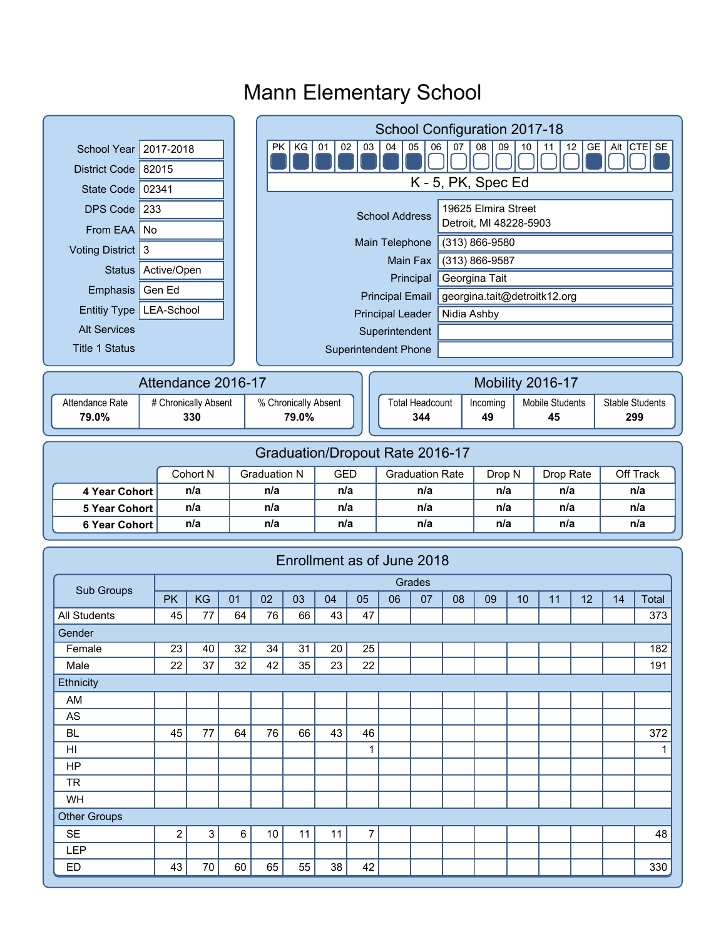#### **Superintendent** Superintendent Phone School Year 2017-2018 District Code 82015 State Code 02341 DPS Code  $233$ From EAA  $\vert$  No Voting District 3 Emphasis Gen Ed Status Active/Open Entitiy Type | LEA-School Alt Services Title 1 Status PK KG 01 02 03 04 05 06 07 08 09 10 11 12 GE Alt CTE SE 1 1 1 1 1 1 1 0 0 0 0 0 0 0 1 0 0 1 K - 5, PK, Spec Ed 19625 Elmira Street Detroit, MI 48228-5903 Main Telephone (313) 866-9580 Main Fax (313) 866-9587 Principal Principal Leader | Nidia Ashby georgina.tait@detroitk12.org Georgina Tait School Configuration 2017-18 School Address Principal Email Attendance Rate | # Chronically Absent | % Chronically Absent **79.0% 79.0%** Attendance 2016-17 Total Headcount | Incoming | Mobile Students | Stable Students **344 49 45 299** Mobility 2016-17 Cohort N Graduation N GED Graduation Rate Drop N Drop Rate Off Track **4 Year Cohort n/a n/a n/a n/a n/a n/a n/a 5 Year Cohort n/a n/a n/a n/a n/a n/a n/a 6 Year Cohort n/a n/a n/a n/a n/a n/a n/a** Graduation/Dropout Rate 2016-17 PK | KG | 01 | 02 | 03 | 04 | 05 | 06 | 07 | 08 | 09 | 10 | 11 | 12 | 14 | Total Grades Sub Groups Enrollment as of June 2018 All Students 45 77 64 76 66 43 47 373 **330**

#### Female | 23 | 40 | 32 | 34 | 31 | 20 | 25 | | | | | | | | 182 Male | 22 | 37 | 32 | 42 | 35 | 23 | 22 | | | | | | | | 191 AM AS BL 45 77 64 76 66 43 46 372 HI 1 1 HP TR WH Gender SE 2 3 6 10 11 11 7 48 Other Groups **Ethnicity** LEP ED | 43 | 70 | 60 | 65 | 55 | 38 | 42 | | | | | | | | | | | | | | 330

# Mann Elementary School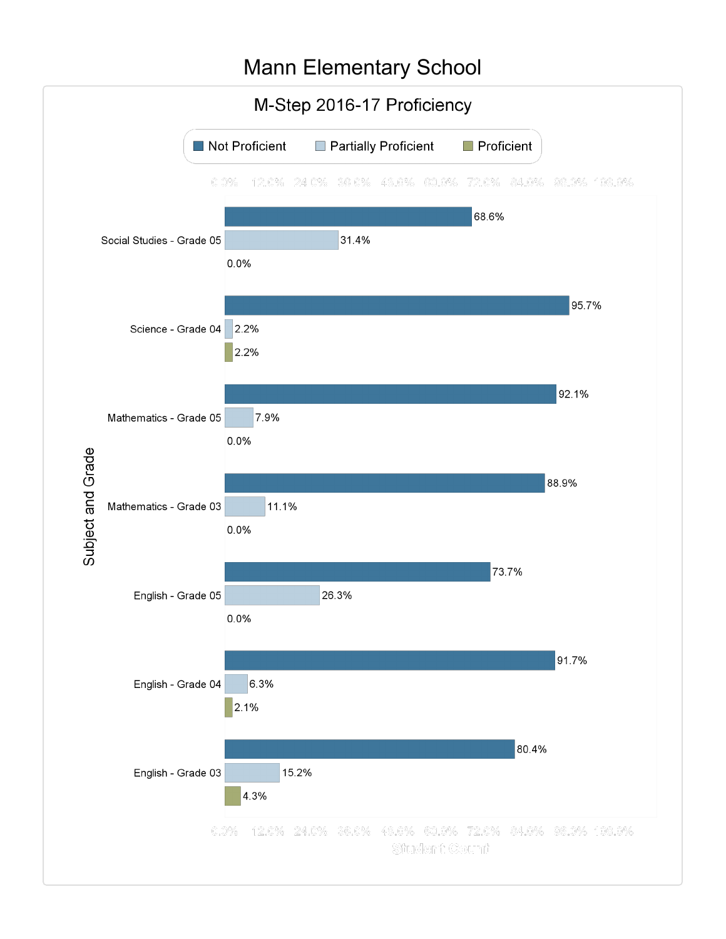## Mann Elementary School

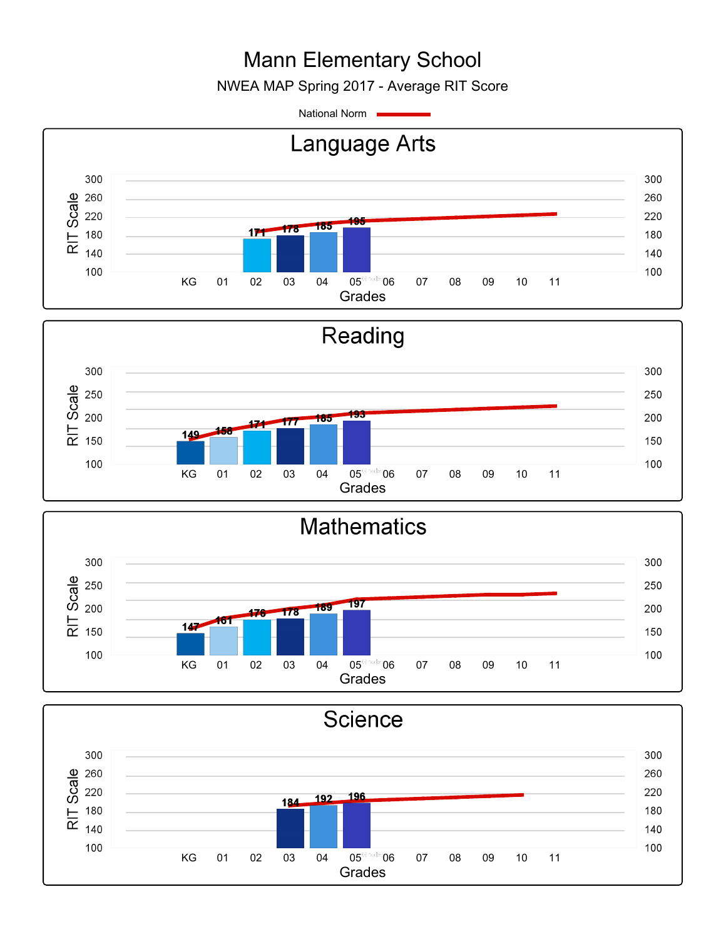# Mann Elementary School

NWEA MAP Spring 2017 - Average RIT Score

National Norm